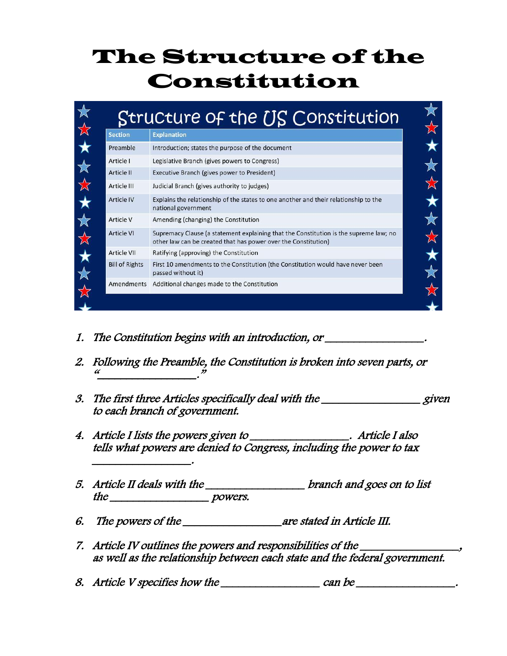## The Structure of the Constitution

| <b>Section</b>        | <b>Explanation</b>                                                                                                                                      |
|-----------------------|---------------------------------------------------------------------------------------------------------------------------------------------------------|
| Preamble              | Introduction; states the purpose of the document                                                                                                        |
| Article I             | Legislative Branch (gives powers to Congress)                                                                                                           |
| Article II            | Executive Branch (gives power to President)                                                                                                             |
| Article III           | Judicial Branch (gives authority to judges)                                                                                                             |
| <b>Article IV</b>     | Explains the relationship of the states to one another and their relationship to the<br>national government                                             |
| Article V             | Amending (changing) the Constitution                                                                                                                    |
| <b>Article VI</b>     | Supremacy Clause (a statement explaining that the Constitution is the supreme law; no<br>other law can be created that has power over the Constitution) |
| Article VII           | Ratifying (approving) the Constitution                                                                                                                  |
| <b>Bill of Rights</b> | First 10 amendments to the Constitution (the Constitution would have never been<br>passed without it)                                                   |
| Amendments            | Additional changes made to the Constitution                                                                                                             |

1. The Constitution begins with an introduction, or \_\_\_\_\_\_\_\_\_\_\_\_\_\_\_\_\_.

\_\_\_\_\_\_\_\_\_\_\_\_\_\_\_\_\_.

- 2. Following the Preamble, the Constitution is broken into seven parts, or " $\overline{\phantom{a}}$  ,  $\overline{\phantom{a}}$  ,  $\overline{\phantom{a}}$  ,  $\overline{\phantom{a}}$  ,  $\overline{\phantom{a}}$  ,  $\overline{\phantom{a}}$  ,  $\overline{\phantom{a}}$  ,  $\overline{\phantom{a}}$  ,  $\overline{\phantom{a}}$  ,  $\overline{\phantom{a}}$  ,  $\overline{\phantom{a}}$  ,  $\overline{\phantom{a}}$  ,  $\overline{\phantom{a}}$  ,  $\overline{\phantom{a}}$  ,  $\overline{\phantom{a}}$  ,  $\overline{\phantom{a}}$
- 3. The first three Articles specifically deal with the given to each branch of government.
- 4. Article I lists the powers given to \_\_\_\_\_\_\_\_\_\_\_\_\_\_\_\_. Article I also tells what powers are denied to Congress, including the power to tax
- 5. Article II deals with the \_\_\_\_\_\_\_\_\_\_\_\_\_\_\_\_\_ branch and goes on to list the powers.
- 6. The powers of the \_\_\_\_\_\_\_\_\_\_\_\_\_\_\_\_\_\_\_\_\_\_\_are stated in Article III.
- 7. Article IV outlines the powers and responsibilities of the as well as the relationship between each state and the federal government.
- 8. Article V specifies how the \_\_\_\_\_\_\_\_\_\_\_\_\_\_\_\_\_ can be \_\_\_\_\_\_\_\_\_\_\_\_\_\_\_\_\_.